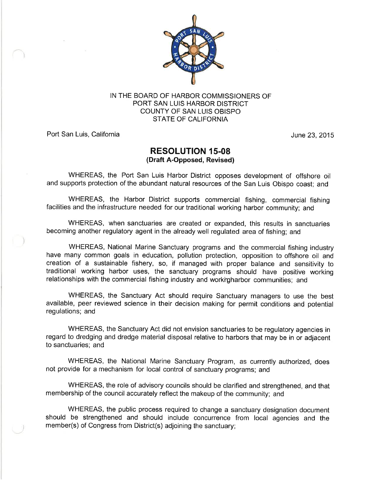

IN THE BOARD OF HARBOR COMMISSIONERS OF PORT SAN LUIS HARBOR DISTRICT COUNTY OF SAN LUIS OBISPO STATE OF CALIFORNIA

Port San Luis, California **Van Australia Contract Contract Contract Contract Contract Contract Contract Contract Contract Contract Contract Contract Contract Contract Contract Contract Contract Contract Contract Contract C** 

## RESOLUTION 15-08 (Draft A-Opposed, Revised)

WHEREAS, the Port San Luis Harbor District opposes development of offshore oil and supports protection of the abundant natural resources of the San Luis Obispo coast; and

WHEREAS, the Harbor District supports commercial fishing, commercial fishing facilities and the infrastructure needed for our traditional working harbor community; and

WHEREAS, when sanctuaries are created or expanded, this results in sanctuaries becoming another regulatory agent in the already well regulated area of fishing; and

WHEREAS, National Marine Sanctuary programs and the commercial fishing industry have many common goals in education, pollution protection, opposition to offshore oil and creation of a sustainable fishery, so, if managed with proper balance and sensitivity to traditional working harbor uses, the sanctuary programs should have positive working relationships with the commercial fishing industry and workigharbor communities; and

WHEREAS, the Sanctuary Act should require Sanctuary managers to use the best available, peer reviewed science in their decision making for permit conditions and potential regulations; and

WHEREAS, the Sanctuary Act did not envision sanctuaries to be regulatory agencies in regard to dredging and dredge material disposal relative to harbors that may be in or adjacent to sanctuaries; and

WHEREAS, the National Marine Sanctuary Program, as currently authorized, does not provide for a mechanism for local control of sanctuary programs; and

WHEREAS, the role of advisory councils should be clarified and strengthened, and that membership of the council accurately reflect the makeup of the community; and

WHEREAS, the public process required to change a sanctuary designation document should be strengthened and should include concurrence from local agencies and the member(s) of Congress from District(s) adjoining the sanctuary;